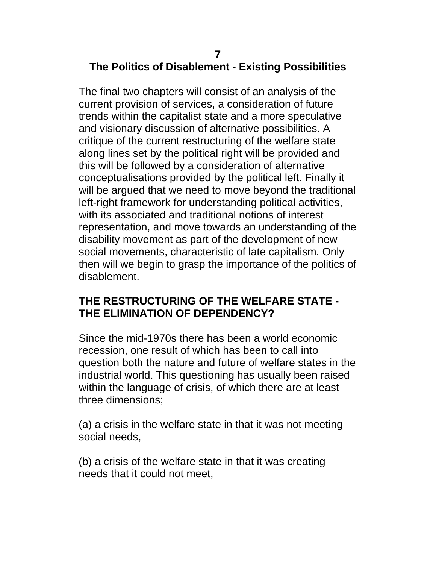#### **7 The Politics of Disablement - Existing Possibilities**

The final two chapters will consist of an analysis of the current provision of services, a consideration of future trends within the capitalist state and a more speculative and visionary discussion of alternative possibilities. A critique of the current restructuring of the welfare state along lines set by the political right will be provided and this will be followed by a consideration of alternative conceptualisations provided by the political left. Finally it will be argued that we need to move beyond the traditional left-right framework for understanding political activities, with its associated and traditional notions of interest representation, and move towards an understanding of the disability movement as part of the development of new social movements, characteristic of late capitalism. Only then will we begin to grasp the importance of the politics of disablement.

# **THE RESTRUCTURING OF THE WELFARE STATE - THE ELIMINATION OF DEPENDENCY?**

Since the mid-1970s there has been a world economic recession, one result of which has been to call into question both the nature and future of welfare states in the industrial world. This questioning has usually been raised within the language of crisis, of which there are at least three dimensions;

(a) a crisis in the welfare state in that it was not meeting social needs,

(b) a crisis of the welfare state in that it was creating needs that it could not meet,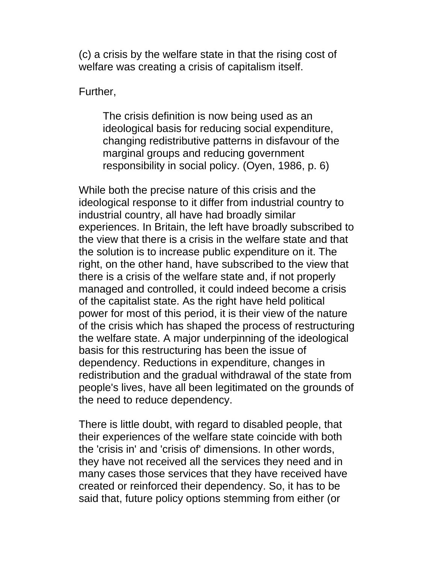(c) a crisis by the welfare state in that the rising cost of welfare was creating a crisis of capitalism itself.

Further,

The crisis definition is now being used as an ideological basis for reducing social expenditure, changing redistributive patterns in disfavour of the marginal groups and reducing government responsibility in social policy. (Oyen, 1986, p. 6)

While both the precise nature of this crisis and the ideological response to it differ from industrial country to industrial country, all have had broadly similar experiences. In Britain, the left have broadly subscribed to the view that there is a crisis in the welfare state and that the solution is to increase public expenditure on it. The right, on the other hand, have subscribed to the view that there is a crisis of the welfare state and, if not properly managed and controlled, it could indeed become a crisis of the capitalist state. As the right have held political power for most of this period, it is their view of the nature of the crisis which has shaped the process of restructuring the welfare state. A major underpinning of the ideological basis for this restructuring has been the issue of dependency. Reductions in expenditure, changes in redistribution and the gradual withdrawal of the state from people's lives, have all been legitimated on the grounds of the need to reduce dependency.

There is little doubt, with regard to disabled people, that their experiences of the welfare state coincide with both the 'crisis in' and 'crisis of' dimensions. In other words, they have not received all the services they need and in many cases those services that they have received have created or reinforced their dependency. So, it has to be said that, future policy options stemming from either (or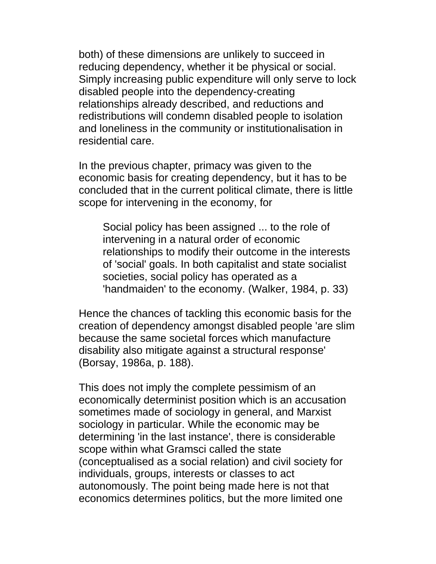both) of these dimensions are unlikely to succeed in reducing dependency, whether it be physical or social. Simply increasing public expenditure will only serve to lock disabled people into the dependency-creating relationships already described, and reductions and redistributions will condemn disabled people to isolation and loneliness in the community or institutionalisation in residential care.

In the previous chapter, primacy was given to the economic basis for creating dependency, but it has to be concluded that in the current political climate, there is little scope for intervening in the economy, for

Social policy has been assigned ... to the role of intervening in a natural order of economic relationships to modify their outcome in the interests of 'social' goals. In both capitalist and state socialist societies, social policy has operated as a 'handmaiden' to the economy. (Walker, 1984, p. 33)

Hence the chances of tackling this economic basis for the creation of dependency amongst disabled people 'are slim because the same societal forces which manufacture disability also mitigate against a structural response' (Borsay, 1986a, p. 188).

This does not imply the complete pessimism of an economically determinist position which is an accusation sometimes made of sociology in general, and Marxist sociology in particular. While the economic may be determining 'in the last instance', there is considerable scope within what Gramsci called the state (conceptualised as a social relation) and civil society for individuals, groups, interests or classes to act autonomously. The point being made here is not that economics determines politics, but the more limited one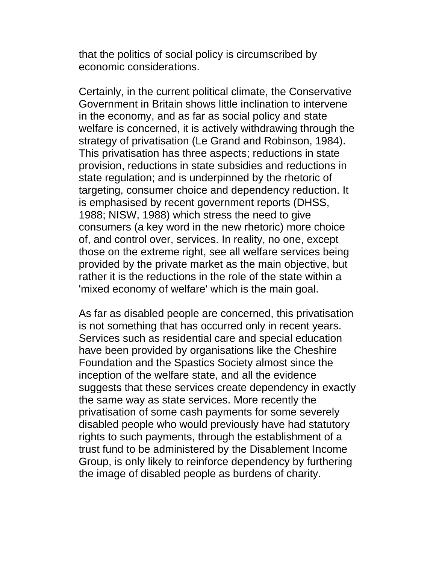that the politics of social policy is circumscribed by economic considerations.

Certainly, in the current political climate, the Conservative Government in Britain shows little inclination to intervene in the economy, and as far as social policy and state welfare is concerned, it is actively withdrawing through the strategy of privatisation (Le Grand and Robinson, 1984). This privatisation has three aspects; reductions in state provision, reductions in state subsidies and reductions in state regulation; and is underpinned by the rhetoric of targeting, consumer choice and dependency reduction. It is emphasised by recent government reports (DHSS, 1988; NISW, 1988) which stress the need to give consumers (a key word in the new rhetoric) more choice of, and control over, services. In reality, no one, except those on the extreme right, see all welfare services being provided by the private market as the main objective, but rather it is the reductions in the role of the state within a 'mixed economy of welfare' which is the main goal.

As far as disabled people are concerned, this privatisation is not something that has occurred only in recent years. Services such as residential care and special education have been provided by organisations like the Cheshire Foundation and the Spastics Society almost since the inception of the welfare state, and all the evidence suggests that these services create dependency in exactly the same way as state services. More recently the privatisation of some cash payments for some severely disabled people who would previously have had statutory rights to such payments, through the establishment of a trust fund to be administered by the Disablement Income Group, is only likely to reinforce dependency by furthering the image of disabled people as burdens of charity.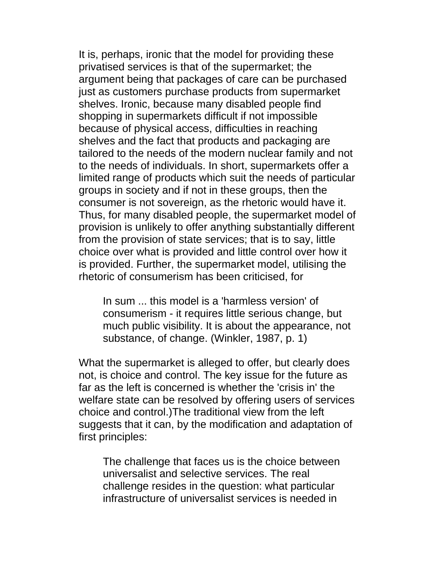It is, perhaps, ironic that the model for providing these privatised services is that of the supermarket; the argument being that packages of care can be purchased just as customers purchase products from supermarket shelves. Ironic, because many disabled people find shopping in supermarkets difficult if not impossible because of physical access, difficulties in reaching shelves and the fact that products and packaging are tailored to the needs of the modern nuclear family and not to the needs of individuals. In short, supermarkets offer a limited range of products which suit the needs of particular groups in society and if not in these groups, then the consumer is not sovereign, as the rhetoric would have it. Thus, for many disabled people, the supermarket model of provision is unlikely to offer anything substantially different from the provision of state services; that is to say, little choice over what is provided and little control over how it is provided. Further, the supermarket model, utilising the rhetoric of consumerism has been criticised, for

In sum ... this model is a 'harmless version' of consumerism - it requires little serious change, but much public visibility. It is about the appearance, not substance, of change. (Winkler, 1987, p. 1)

What the supermarket is alleged to offer, but clearly does not, is choice and control. The key issue for the future as far as the left is concerned is whether the 'crisis in' the welfare state can be resolved by offering users of services choice and control.)The traditional view from the left suggests that it can, by the modification and adaptation of first principles:

The challenge that faces us is the choice between universalist and selective services. The real challenge resides in the question: what particular infrastructure of universalist services is needed in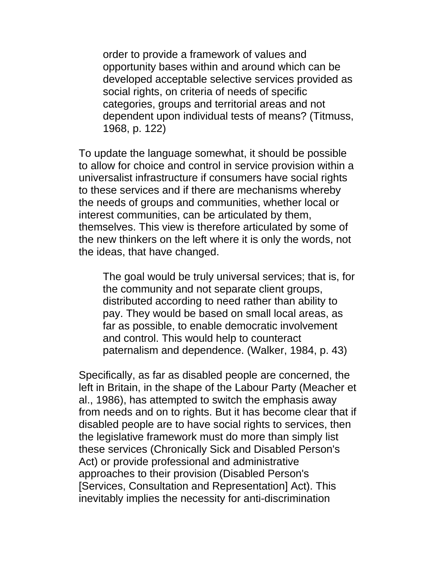order to provide a framework of values and opportunity bases within and around which can be developed acceptable selective services provided as social rights, on criteria of needs of specific categories, groups and territorial areas and not dependent upon individual tests of means? (Titmuss, 1968, p. 122)

To update the language somewhat, it should be possible to allow for choice and control in service provision within a universalist infrastructure if consumers have social rights to these services and if there are mechanisms whereby the needs of groups and communities, whether local or interest communities, can be articulated by them, themselves. This view is therefore articulated by some of the new thinkers on the left where it is only the words, not the ideas, that have changed.

The goal would be truly universal services; that is, for the community and not separate client groups, distributed according to need rather than ability to pay. They would be based on small local areas, as far as possible, to enable democratic involvement and control. This would help to counteract paternalism and dependence. (Walker, 1984, p. 43)

Specifically, as far as disabled people are concerned, the left in Britain, in the shape of the Labour Party (Meacher et al., 1986), has attempted to switch the emphasis away from needs and on to rights. But it has become clear that if disabled people are to have social rights to services, then the legislative framework must do more than simply list these services (Chronically Sick and Disabled Person's Act) or provide professional and administrative approaches to their provision (Disabled Person's [Services, Consultation and Representation] Act). This inevitably implies the necessity for anti-discrimination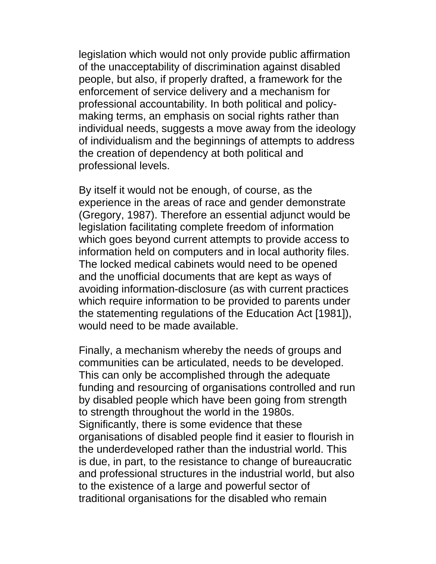legislation which would not only provide public affirmation of the unacceptability of discrimination against disabled people, but also, if properly drafted, a framework for the enforcement of service delivery and a mechanism for professional accountability. In both political and policymaking terms, an emphasis on social rights rather than individual needs, suggests a move away from the ideology of individualism and the beginnings of attempts to address the creation of dependency at both political and professional levels.

By itself it would not be enough, of course, as the experience in the areas of race and gender demonstrate (Gregory, 1987). Therefore an essential adjunct would be legislation facilitating complete freedom of information which goes beyond current attempts to provide access to information held on computers and in local authority files. The locked medical cabinets would need to be opened and the unofficial documents that are kept as ways of avoiding information-disclosure (as with current practices which require information to be provided to parents under the statementing regulations of the Education Act [1981]), would need to be made available.

Finally, a mechanism whereby the needs of groups and communities can be articulated, needs to be developed. This can only be accomplished through the adequate funding and resourcing of organisations controlled and run by disabled people which have been going from strength to strength throughout the world in the 1980s. Significantly, there is some evidence that these organisations of disabled people find it easier to flourish in the underdeveloped rather than the industrial world. This is due, in part, to the resistance to change of bureaucratic and professional structures in the industrial world, but also to the existence of a large and powerful sector of traditional organisations for the disabled who remain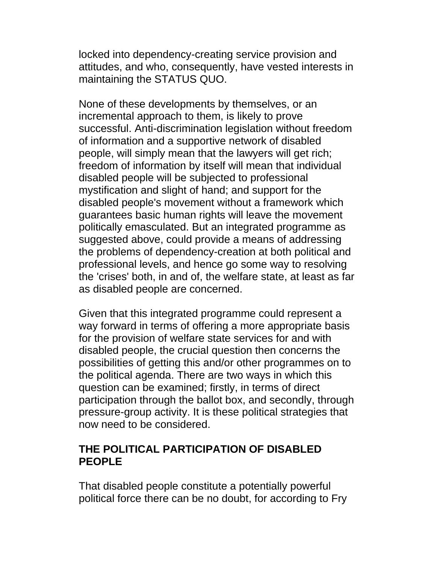locked into dependency-creating service provision and attitudes, and who, consequently, have vested interests in maintaining the STATUS QUO.

None of these developments by themselves, or an incremental approach to them, is likely to prove successful. Anti-discrimination legislation without freedom of information and a supportive network of disabled people, will simply mean that the lawyers will get rich; freedom of information by itself will mean that individual disabled people will be subjected to professional mystification and slight of hand; and support for the disabled people's movement without a framework which guarantees basic human rights will leave the movement politically emasculated. But an integrated programme as suggested above, could provide a means of addressing the problems of dependency-creation at both political and professional levels, and hence go some way to resolving the 'crises' both, in and of, the welfare state, at least as far as disabled people are concerned.

Given that this integrated programme could represent a way forward in terms of offering a more appropriate basis for the provision of welfare state services for and with disabled people, the crucial question then concerns the possibilities of getting this and/or other programmes on to the political agenda. There are two ways in which this question can be examined; firstly, in terms of direct participation through the ballot box, and secondly, through pressure-group activity. It is these political strategies that now need to be considered.

### **THE POLITICAL PARTICIPATION OF DISABLED PEOPLE**

That disabled people constitute a potentially powerful political force there can be no doubt, for according to Fry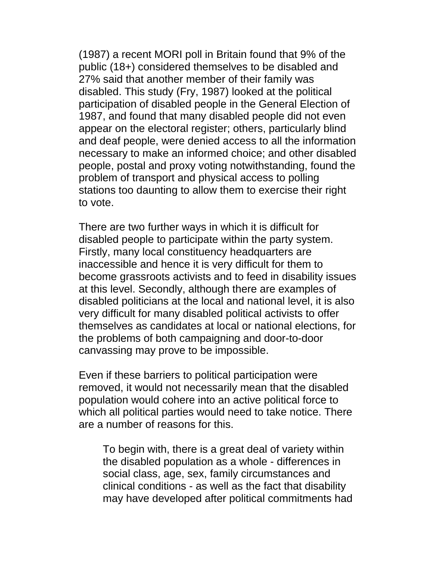(1987) a recent MORI poll in Britain found that 9% of the public (18+) considered themselves to be disabled and 27% said that another member of their family was disabled. This study (Fry, 1987) looked at the political participation of disabled people in the General Election of 1987, and found that many disabled people did not even appear on the electoral register; others, particularly blind and deaf people, were denied access to all the information necessary to make an informed choice; and other disabled people, postal and proxy voting notwithstanding, found the problem of transport and physical access to polling stations too daunting to allow them to exercise their right to vote.

There are two further ways in which it is difficult for disabled people to participate within the party system. Firstly, many local constituency headquarters are inaccessible and hence it is very difficult for them to become grassroots activists and to feed in disability issues at this level. Secondly, although there are examples of disabled politicians at the local and national level, it is also very difficult for many disabled political activists to offer themselves as candidates at local or national elections, for the problems of both campaigning and door-to-door canvassing may prove to be impossible.

Even if these barriers to political participation were removed, it would not necessarily mean that the disabled population would cohere into an active political force to which all political parties would need to take notice. There are a number of reasons for this.

To begin with, there is a great deal of variety within the disabled population as a whole - differences in social class, age, sex, family circumstances and clinical conditions - as well as the fact that disability may have developed after political commitments had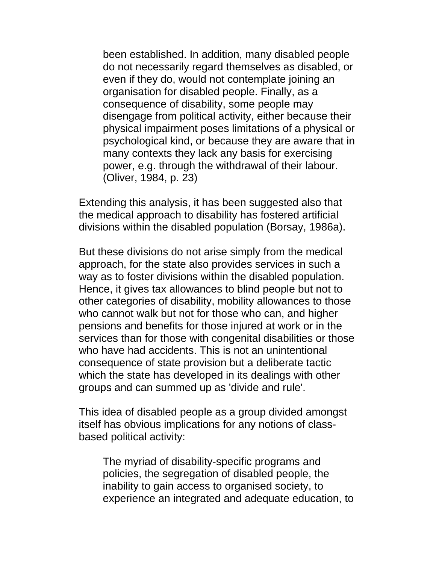been established. In addition, many disabled people do not necessarily regard themselves as disabled, or even if they do, would not contemplate joining an organisation for disabled people. Finally, as a consequence of disability, some people may disengage from political activity, either because their physical impairment poses limitations of a physical or psychological kind, or because they are aware that in many contexts they lack any basis for exercising power, e.g. through the withdrawal of their labour. (Oliver, 1984, p. 23)

Extending this analysis, it has been suggested also that the medical approach to disability has fostered artificial divisions within the disabled population (Borsay, 1986a).

But these divisions do not arise simply from the medical approach, for the state also provides services in such a way as to foster divisions within the disabled population. Hence, it gives tax allowances to blind people but not to other categories of disability, mobility allowances to those who cannot walk but not for those who can, and higher pensions and benefits for those injured at work or in the services than for those with congenital disabilities or those who have had accidents. This is not an unintentional consequence of state provision but a deliberate tactic which the state has developed in its dealings with other groups and can summed up as 'divide and rule'.

This idea of disabled people as a group divided amongst itself has obvious implications for any notions of classbased political activity:

The myriad of disability-specific programs and policies, the segregation of disabled people, the inability to gain access to organised society, to experience an integrated and adequate education, to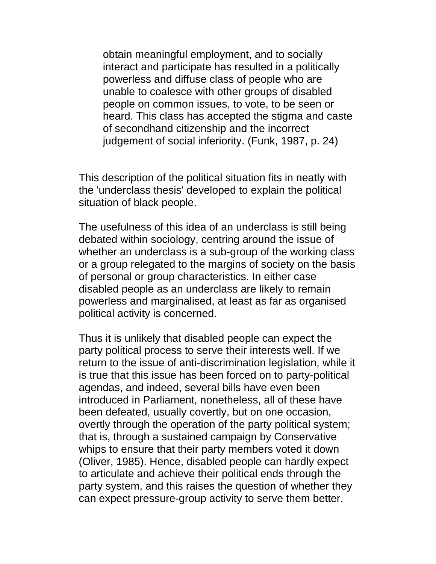obtain meaningful employment, and to socially interact and participate has resulted in a politically powerless and diffuse class of people who are unable to coalesce with other groups of disabled people on common issues, to vote, to be seen or heard. This class has accepted the stigma and caste of secondhand citizenship and the incorrect judgement of social inferiority. (Funk, 1987, p. 24)

This description of the political situation fits in neatly with the 'underclass thesis' developed to explain the political situation of black people.

The usefulness of this idea of an underclass is still being debated within sociology, centring around the issue of whether an underclass is a sub-group of the working class or a group relegated to the margins of society on the basis of personal or group characteristics. In either case disabled people as an underclass are likely to remain powerless and marginalised, at least as far as organised political activity is concerned.

Thus it is unlikely that disabled people can expect the party political process to serve their interests well. If we return to the issue of anti-discrimination legislation, while it is true that this issue has been forced on to party-political agendas, and indeed, several bills have even been introduced in Parliament, nonetheless, all of these have been defeated, usually covertly, but on one occasion, overtly through the operation of the party political system; that is, through a sustained campaign by Conservative whips to ensure that their party members voted it down (Oliver, 1985). Hence, disabled people can hardly expect to articulate and achieve their political ends through the party system, and this raises the question of whether they can expect pressure-group activity to serve them better.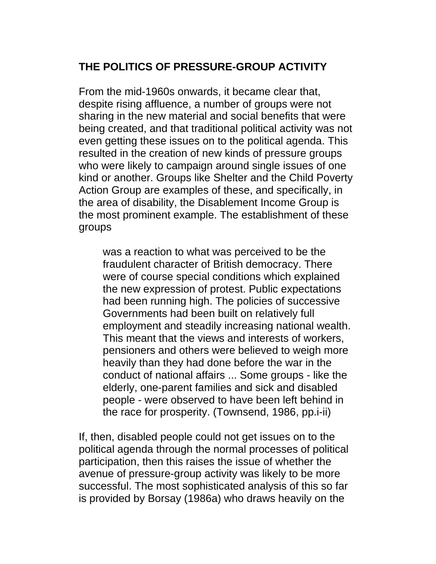# **THE POLITICS OF PRESSURE-GROUP ACTIVITY**

From the mid-1960s onwards, it became clear that, despite rising affluence, a number of groups were not sharing in the new material and social benefits that were being created, and that traditional political activity was not even getting these issues on to the political agenda. This resulted in the creation of new kinds of pressure groups who were likely to campaign around single issues of one kind or another. Groups like Shelter and the Child Poverty Action Group are examples of these, and specifically, in the area of disability, the Disablement Income Group is the most prominent example. The establishment of these groups

was a reaction to what was perceived to be the fraudulent character of British democracy. There were of course special conditions which explained the new expression of protest. Public expectations had been running high. The policies of successive Governments had been built on relatively full employment and steadily increasing national wealth. This meant that the views and interests of workers, pensioners and others were believed to weigh more heavily than they had done before the war in the conduct of national affairs ... Some groups - like the elderly, one-parent families and sick and disabled people - were observed to have been left behind in the race for prosperity. (Townsend, 1986, pp.i-ii)

If, then, disabled people could not get issues on to the political agenda through the normal processes of political participation, then this raises the issue of whether the avenue of pressure-group activity was likely to be more successful. The most sophisticated analysis of this so far is provided by Borsay (1986a) who draws heavily on the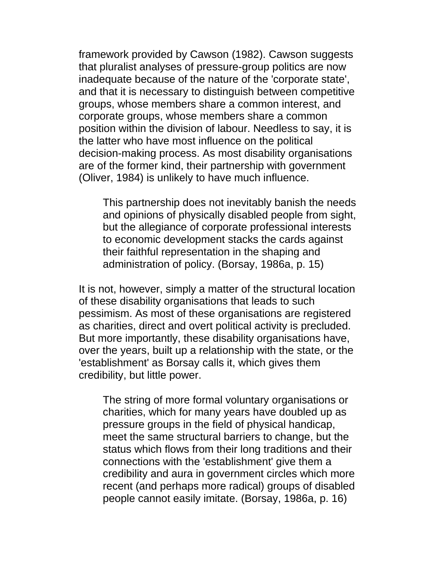framework provided by Cawson (1982). Cawson suggests that pluralist analyses of pressure-group politics are now inadequate because of the nature of the 'corporate state', and that it is necessary to distinguish between competitive groups, whose members share a common interest, and corporate groups, whose members share a common position within the division of labour. Needless to say, it is the latter who have most influence on the political decision-making process. As most disability organisations are of the former kind, their partnership with government (Oliver, 1984) is unlikely to have much influence.

This partnership does not inevitably banish the needs and opinions of physically disabled people from sight, but the allegiance of corporate professional interests to economic development stacks the cards against their faithful representation in the shaping and administration of policy. (Borsay, 1986a, p. 15)

It is not, however, simply a matter of the structural location of these disability organisations that leads to such pessimism. As most of these organisations are registered as charities, direct and overt political activity is precluded. But more importantly, these disability organisations have, over the years, built up a relationship with the state, or the 'establishment' as Borsay calls it, which gives them credibility, but little power.

The string of more formal voluntary organisations or charities, which for many years have doubled up as pressure groups in the field of physical handicap, meet the same structural barriers to change, but the status which flows from their long traditions and their connections with the 'establishment' give them a credibility and aura in government circles which more recent (and perhaps more radical) groups of disabled people cannot easily imitate. (Borsay, 1986a, p. 16)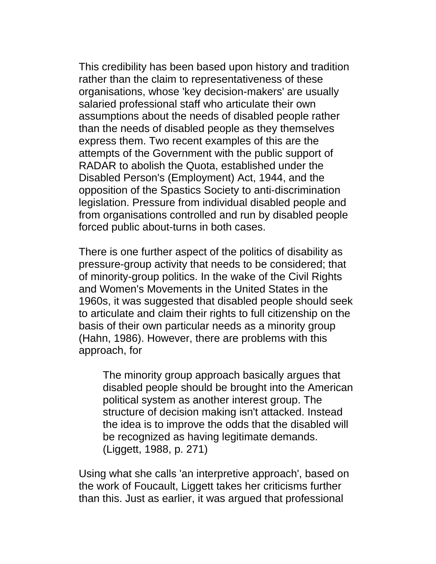This credibility has been based upon history and tradition rather than the claim to representativeness of these organisations, whose 'key decision-makers' are usually salaried professional staff who articulate their own assumptions about the needs of disabled people rather than the needs of disabled people as they themselves express them. Two recent examples of this are the attempts of the Government with the public support of RADAR to abolish the Quota, established under the Disabled Person's (Employment) Act, 1944, and the opposition of the Spastics Society to anti-discrimination legislation. Pressure from individual disabled people and from organisations controlled and run by disabled people forced public about-turns in both cases.

There is one further aspect of the politics of disability as pressure-group activity that needs to be considered; that of minority-group politics. In the wake of the Civil Rights and Women's Movements in the United States in the 1960s, it was suggested that disabled people should seek to articulate and claim their rights to full citizenship on the basis of their own particular needs as a minority group (Hahn, 1986). However, there are problems with this approach, for

The minority group approach basically argues that disabled people should be brought into the American political system as another interest group. The structure of decision making isn't attacked. Instead the idea is to improve the odds that the disabled will be recognized as having legitimate demands. (Liggett, 1988, p. 271)

Using what she calls 'an interpretive approach', based on the work of Foucault, Liggett takes her criticisms further than this. Just as earlier, it was argued that professional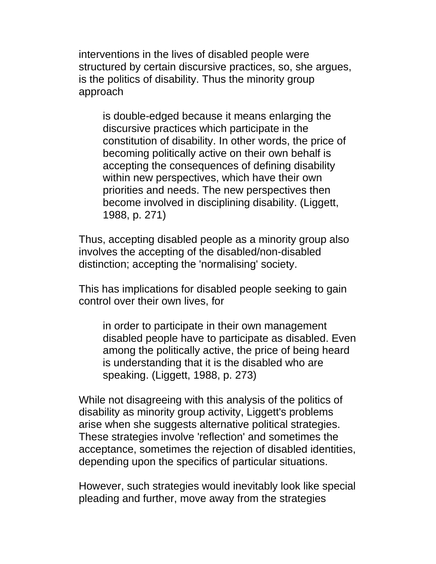interventions in the lives of disabled people were structured by certain discursive practices, so, she argues, is the politics of disability. Thus the minority group approach

is double-edged because it means enlarging the discursive practices which participate in the constitution of disability. In other words, the price of becoming politically active on their own behalf is accepting the consequences of defining disability within new perspectives, which have their own priorities and needs. The new perspectives then become involved in disciplining disability. (Liggett, 1988, p. 271)

Thus, accepting disabled people as a minority group also involves the accepting of the disabled/non-disabled distinction; accepting the 'normalising' society.

This has implications for disabled people seeking to gain control over their own lives, for

in order to participate in their own management disabled people have to participate as disabled. Even among the politically active, the price of being heard is understanding that it is the disabled who are speaking. (Liggett, 1988, p. 273)

While not disagreeing with this analysis of the politics of disability as minority group activity, Liggett's problems arise when she suggests alternative political strategies. These strategies involve 'reflection' and sometimes the acceptance, sometimes the rejection of disabled identities, depending upon the specifics of particular situations.

However, such strategies would inevitably look like special pleading and further, move away from the strategies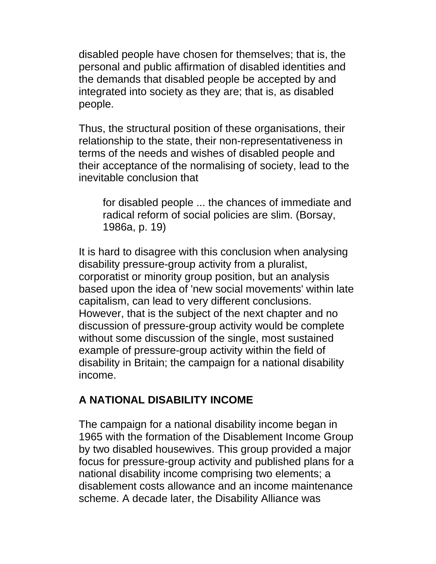disabled people have chosen for themselves; that is, the personal and public affirmation of disabled identities and the demands that disabled people be accepted by and integrated into society as they are; that is, as disabled people.

Thus, the structural position of these organisations, their relationship to the state, their non-representativeness in terms of the needs and wishes of disabled people and their acceptance of the normalising of society, lead to the inevitable conclusion that

for disabled people ... the chances of immediate and radical reform of social policies are slim. (Borsay, 1986a, p. 19)

It is hard to disagree with this conclusion when analysing disability pressure-group activity from a pluralist, corporatist or minority group position, but an analysis based upon the idea of 'new social movements' within late capitalism, can lead to very different conclusions. However, that is the subject of the next chapter and no discussion of pressure-group activity would be complete without some discussion of the single, most sustained example of pressure-group activity within the field of disability in Britain; the campaign for a national disability income.

## **A NATIONAL DISABILITY INCOME**

The campaign for a national disability income began in 1965 with the formation of the Disablement Income Group by two disabled housewives. This group provided a major focus for pressure-group activity and published plans for a national disability income comprising two elements; a disablement costs allowance and an income maintenance scheme. A decade later, the Disability Alliance was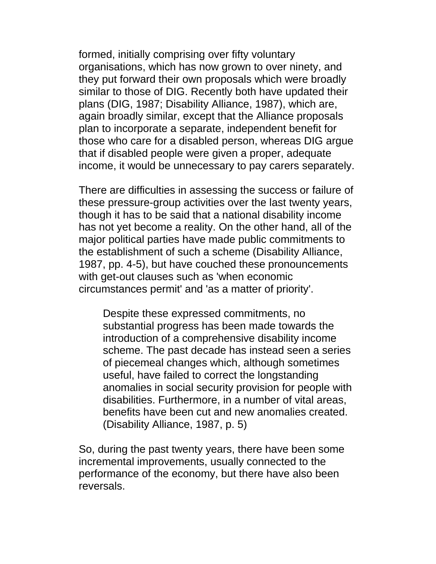formed, initially comprising over fifty voluntary organisations, which has now grown to over ninety, and they put forward their own proposals which were broadly similar to those of DIG. Recently both have updated their plans (DIG, 1987; Disability Alliance, 1987), which are, again broadly similar, except that the Alliance proposals plan to incorporate a separate, independent benefit for those who care for a disabled person, whereas DIG argue that if disabled people were given a proper, adequate income, it would be unnecessary to pay carers separately.

There are difficulties in assessing the success or failure of these pressure-group activities over the last twenty years, though it has to be said that a national disability income has not yet become a reality. On the other hand, all of the major political parties have made public commitments to the establishment of such a scheme (Disability Alliance, 1987, pp. 4-5), but have couched these pronouncements with get-out clauses such as 'when economic circumstances permit' and 'as a matter of priority'.

Despite these expressed commitments, no substantial progress has been made towards the introduction of a comprehensive disability income scheme. The past decade has instead seen a series of piecemeal changes which, although sometimes useful, have failed to correct the longstanding anomalies in social security provision for people with disabilities. Furthermore, in a number of vital areas, benefits have been cut and new anomalies created. (Disability Alliance, 1987, p. 5)

So, during the past twenty years, there have been some incremental improvements, usually connected to the performance of the economy, but there have also been reversals.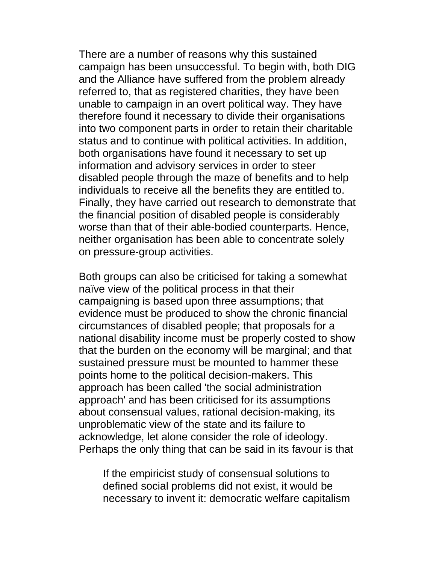There are a number of reasons why this sustained campaign has been unsuccessful. To begin with, both DIG and the Alliance have suffered from the problem already referred to, that as registered charities, they have been unable to campaign in an overt political way. They have therefore found it necessary to divide their organisations into two component parts in order to retain their charitable status and to continue with political activities. In addition, both organisations have found it necessary to set up information and advisory services in order to steer disabled people through the maze of benefits and to help individuals to receive all the benefits they are entitled to. Finally, they have carried out research to demonstrate that the financial position of disabled people is considerably worse than that of their able-bodied counterparts. Hence, neither organisation has been able to concentrate solely on pressure-group activities.

Both groups can also be criticised for taking a somewhat naïve view of the political process in that their campaigning is based upon three assumptions; that evidence must be produced to show the chronic financial circumstances of disabled people; that proposals for a national disability income must be properly costed to show that the burden on the economy will be marginal; and that sustained pressure must be mounted to hammer these points home to the political decision-makers. This approach has been called 'the social administration approach' and has been criticised for its assumptions about consensual values, rational decision-making, its unproblematic view of the state and its failure to acknowledge, let alone consider the role of ideology. Perhaps the only thing that can be said in its favour is that

If the empiricist study of consensual solutions to defined social problems did not exist, it would be necessary to invent it: democratic welfare capitalism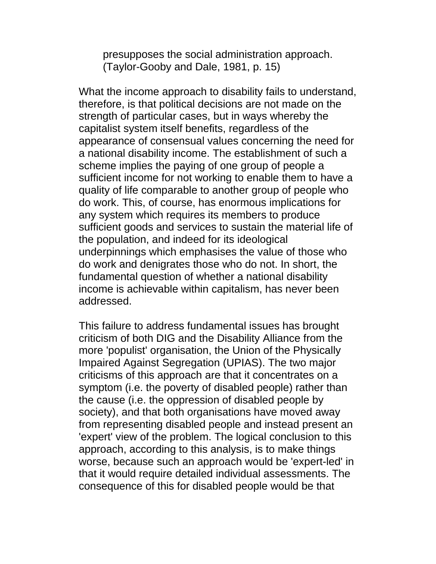presupposes the social administration approach. (Taylor-Gooby and Dale, 1981, p. 15)

What the income approach to disability fails to understand, therefore, is that political decisions are not made on the strength of particular cases, but in ways whereby the capitalist system itself benefits, regardless of the appearance of consensual values concerning the need for a national disability income. The establishment of such a scheme implies the paying of one group of people a sufficient income for not working to enable them to have a quality of life comparable to another group of people who do work. This, of course, has enormous implications for any system which requires its members to produce sufficient goods and services to sustain the material life of the population, and indeed for its ideological underpinnings which emphasises the value of those who do work and denigrates those who do not. In short, the fundamental question of whether a national disability income is achievable within capitalism, has never been addressed.

This failure to address fundamental issues has brought criticism of both DIG and the Disability Alliance from the more 'populist' organisation, the Union of the Physically Impaired Against Segregation (UPIAS). The two major criticisms of this approach are that it concentrates on a symptom (i.e. the poverty of disabled people) rather than the cause (i.e. the oppression of disabled people by society), and that both organisations have moved away from representing disabled people and instead present an 'expert' view of the problem. The logical conclusion to this approach, according to this analysis, is to make things worse, because such an approach would be 'expert-led' in that it would require detailed individual assessments. The consequence of this for disabled people would be that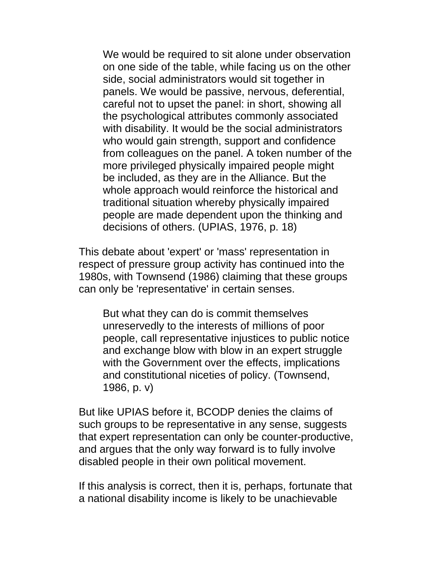We would be required to sit alone under observation on one side of the table, while facing us on the other side, social administrators would sit together in panels. We would be passive, nervous, deferential, careful not to upset the panel: in short, showing all the psychological attributes commonly associated with disability. It would be the social administrators who would gain strength, support and confidence from colleagues on the panel. A token number of the more privileged physically impaired people might be included, as they are in the Alliance. But the whole approach would reinforce the historical and traditional situation whereby physically impaired people are made dependent upon the thinking and decisions of others. (UPIAS, 1976, p. 18)

This debate about 'expert' or 'mass' representation in respect of pressure group activity has continued into the 1980s, with Townsend (1986) claiming that these groups can only be 'representative' in certain senses.

But what they can do is commit themselves unreservedly to the interests of millions of poor people, call representative injustices to public notice and exchange blow with blow in an expert struggle with the Government over the effects, implications and constitutional niceties of policy. (Townsend, 1986, p. v)

But like UPIAS before it, BCODP denies the claims of such groups to be representative in any sense, suggests that expert representation can only be counter-productive, and argues that the only way forward is to fully involve disabled people in their own political movement.

If this analysis is correct, then it is, perhaps, fortunate that a national disability income is likely to be unachievable